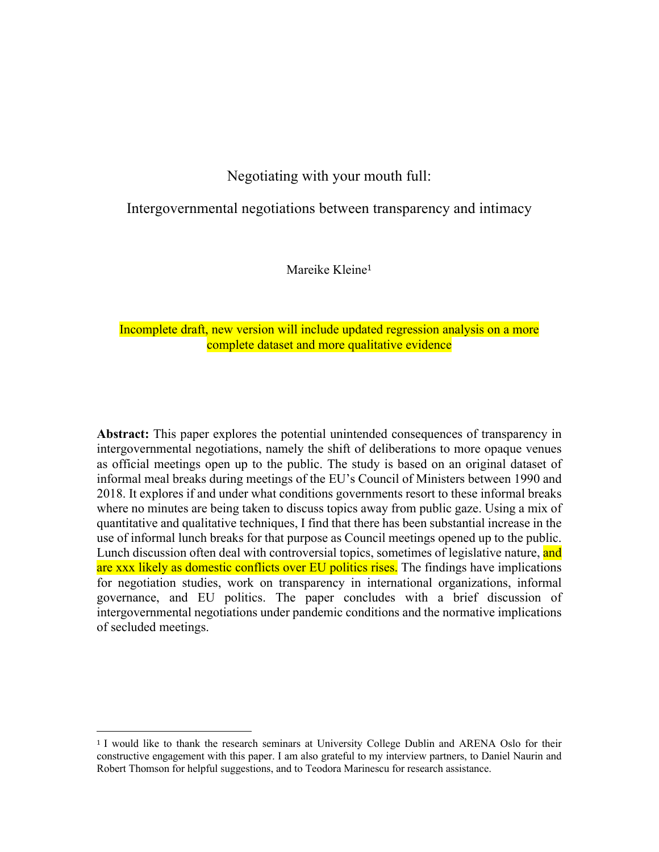# Negotiating with your mouth full:

## Intergovernmental negotiations between transparency and intimacy

Mareike Kleine<sup>1</sup>

## Incomplete draft, new version will include updated regression analysis on a more complete dataset and more qualitative evidence

**Abstract:** This paper explores the potential unintended consequences of transparency in intergovernmental negotiations, namely the shift of deliberations to more opaque venues as official meetings open up to the public. The study is based on an original dataset of informal meal breaks during meetings of the EU's Council of Ministers between 1990 and 2018. It explores if and under what conditions governments resort to these informal breaks where no minutes are being taken to discuss topics away from public gaze. Using a mix of quantitative and qualitative techniques, I find that there has been substantial increase in the use of informal lunch breaks for that purpose as Council meetings opened up to the public. Lunch discussion often deal with controversial topics, sometimes of legislative nature, and are xxx likely as domestic conflicts over EU politics rises. The findings have implications for negotiation studies, work on transparency in international organizations, informal governance, and EU politics. The paper concludes with a brief discussion of intergovernmental negotiations under pandemic conditions and the normative implications of secluded meetings.

<sup>1</sup> I would like to thank the research seminars at University College Dublin and ARENA Oslo for their constructive engagement with this paper. I am also grateful to my interview partners, to Daniel Naurin and Robert Thomson for helpful suggestions, and to Teodora Marinescu for research assistance.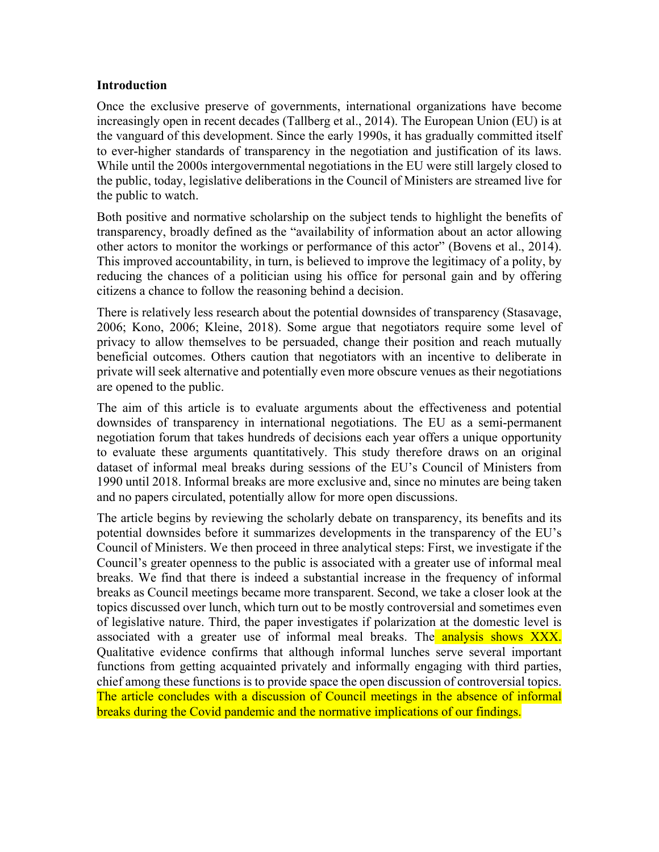## **Introduction**

Once the exclusive preserve of governments, international organizations have become increasingly open in recent decades (Tallberg et al., 2014). The European Union (EU) is at the vanguard of this development. Since the early 1990s, it has gradually committed itself to ever-higher standards of transparency in the negotiation and justification of its laws. While until the 2000s intergovernmental negotiations in the EU were still largely closed to the public, today, legislative deliberations in the Council of Ministers are streamed live for the public to watch.

Both positive and normative scholarship on the subject tends to highlight the benefits of transparency, broadly defined as the "availability of information about an actor allowing other actors to monitor the workings or performance of this actor" (Bovens et al., 2014). This improved accountability, in turn, is believed to improve the legitimacy of a polity, by reducing the chances of a politician using his office for personal gain and by offering citizens a chance to follow the reasoning behind a decision.

There is relatively less research about the potential downsides of transparency (Stasavage, 2006; Kono, 2006; Kleine, 2018). Some argue that negotiators require some level of privacy to allow themselves to be persuaded, change their position and reach mutually beneficial outcomes. Others caution that negotiators with an incentive to deliberate in private will seek alternative and potentially even more obscure venues as their negotiations are opened to the public.

The aim of this article is to evaluate arguments about the effectiveness and potential downsides of transparency in international negotiations. The EU as a semi-permanent negotiation forum that takes hundreds of decisions each year offers a unique opportunity to evaluate these arguments quantitatively. This study therefore draws on an original dataset of informal meal breaks during sessions of the EU's Council of Ministers from 1990 until 2018. Informal breaks are more exclusive and, since no minutes are being taken and no papers circulated, potentially allow for more open discussions.

The article begins by reviewing the scholarly debate on transparency, its benefits and its potential downsides before it summarizes developments in the transparency of the EU's Council of Ministers. We then proceed in three analytical steps: First, we investigate if the Council's greater openness to the public is associated with a greater use of informal meal breaks. We find that there is indeed a substantial increase in the frequency of informal breaks as Council meetings became more transparent. Second, we take a closer look at the topics discussed over lunch, which turn out to be mostly controversial and sometimes even of legislative nature. Third, the paper investigates if polarization at the domestic level is associated with a greater use of informal meal breaks. The **analysis shows XXX**. Qualitative evidence confirms that although informal lunches serve several important functions from getting acquainted privately and informally engaging with third parties, chief among these functions is to provide space the open discussion of controversial topics. The article concludes with a discussion of Council meetings in the absence of informal breaks during the Covid pandemic and the normative implications of our findings.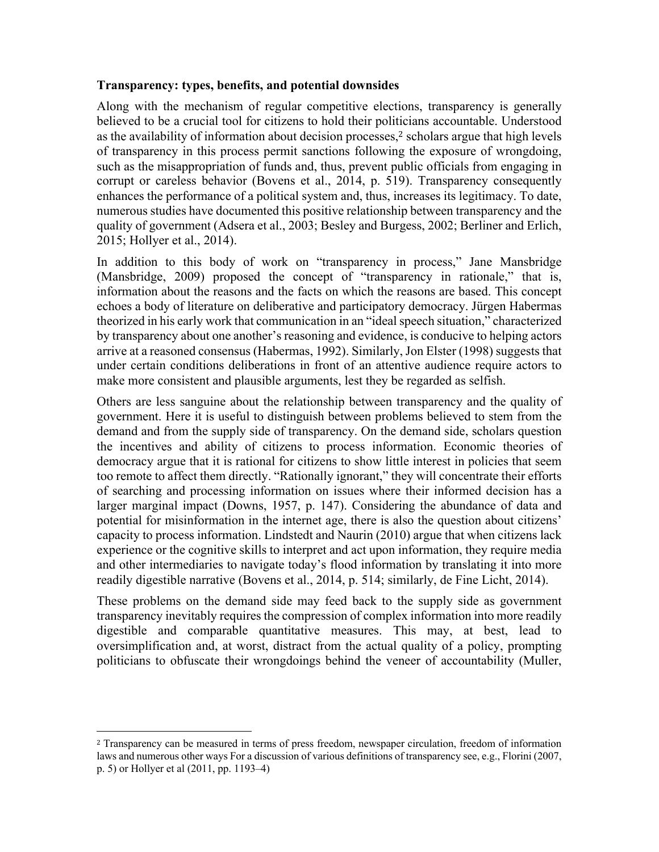## **Transparency: types, benefits, and potential downsides**

Along with the mechanism of regular competitive elections, transparency is generally believed to be a crucial tool for citizens to hold their politicians accountable. Understood as the availability of information about decision processes, $2$  scholars argue that high levels of transparency in this process permit sanctions following the exposure of wrongdoing, such as the misappropriation of funds and, thus, prevent public officials from engaging in corrupt or careless behavior (Bovens et al., 2014, p. 519). Transparency consequently enhances the performance of a political system and, thus, increases its legitimacy. To date, numerous studies have documented this positive relationship between transparency and the quality of government (Adsera et al., 2003; Besley and Burgess, 2002; Berliner and Erlich, 2015; Hollyer et al., 2014).

In addition to this body of work on "transparency in process," Jane Mansbridge (Mansbridge, 2009) proposed the concept of "transparency in rationale," that is, information about the reasons and the facts on which the reasons are based. This concept echoes a body of literature on deliberative and participatory democracy. Jürgen Habermas theorized in his early work that communication in an "ideal speech situation," characterized by transparency about one another's reasoning and evidence, is conducive to helping actors arrive at a reasoned consensus (Habermas, 1992). Similarly, Jon Elster (1998) suggests that under certain conditions deliberations in front of an attentive audience require actors to make more consistent and plausible arguments, lest they be regarded as selfish.

Others are less sanguine about the relationship between transparency and the quality of government. Here it is useful to distinguish between problems believed to stem from the demand and from the supply side of transparency. On the demand side, scholars question the incentives and ability of citizens to process information. Economic theories of democracy argue that it is rational for citizens to show little interest in policies that seem too remote to affect them directly. "Rationally ignorant," they will concentrate their efforts of searching and processing information on issues where their informed decision has a larger marginal impact (Downs, 1957, p. 147). Considering the abundance of data and potential for misinformation in the internet age, there is also the question about citizens' capacity to process information. Lindstedt and Naurin (2010) argue that when citizens lack experience or the cognitive skills to interpret and act upon information, they require media and other intermediaries to navigate today's flood information by translating it into more readily digestible narrative (Bovens et al., 2014, p. 514; similarly, de Fine Licht, 2014).

These problems on the demand side may feed back to the supply side as government transparency inevitably requires the compression of complex information into more readily digestible and comparable quantitative measures. This may, at best, lead to oversimplification and, at worst, distract from the actual quality of a policy, prompting politicians to obfuscate their wrongdoings behind the veneer of accountability (Muller,

<sup>2</sup> Transparency can be measured in terms of press freedom, newspaper circulation, freedom of information laws and numerous other ways For a discussion of various definitions of transparency see, e.g., Florini (2007, p. 5) or Hollyer et al (2011, pp. 1193–4)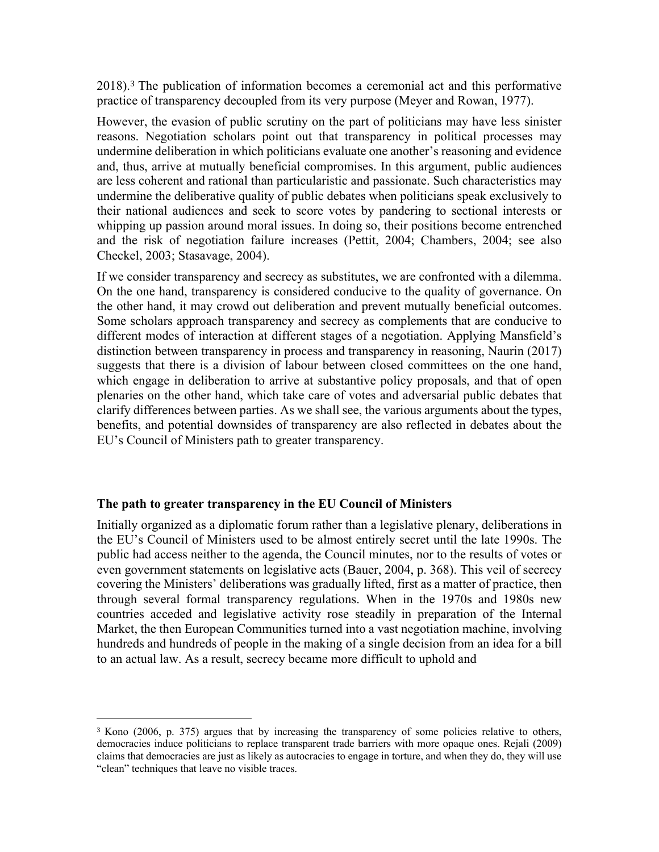2018). <sup>3</sup> The publication of information becomes a ceremonial act and this performative practice of transparency decoupled from its very purpose (Meyer and Rowan, 1977).

However, the evasion of public scrutiny on the part of politicians may have less sinister reasons. Negotiation scholars point out that transparency in political processes may undermine deliberation in which politicians evaluate one another's reasoning and evidence and, thus, arrive at mutually beneficial compromises. In this argument, public audiences are less coherent and rational than particularistic and passionate. Such characteristics may undermine the deliberative quality of public debates when politicians speak exclusively to their national audiences and seek to score votes by pandering to sectional interests or whipping up passion around moral issues. In doing so, their positions become entrenched and the risk of negotiation failure increases (Pettit, 2004; Chambers, 2004; see also Checkel, 2003; Stasavage, 2004).

If we consider transparency and secrecy as substitutes, we are confronted with a dilemma. On the one hand, transparency is considered conducive to the quality of governance. On the other hand, it may crowd out deliberation and prevent mutually beneficial outcomes. Some scholars approach transparency and secrecy as complements that are conducive to different modes of interaction at different stages of a negotiation. Applying Mansfield's distinction between transparency in process and transparency in reasoning, Naurin (2017) suggests that there is a division of labour between closed committees on the one hand, which engage in deliberation to arrive at substantive policy proposals, and that of open plenaries on the other hand, which take care of votes and adversarial public debates that clarify differences between parties. As we shall see, the various arguments about the types, benefits, and potential downsides of transparency are also reflected in debates about the EU's Council of Ministers path to greater transparency.

## **The path to greater transparency in the EU Council of Ministers**

Initially organized as a diplomatic forum rather than a legislative plenary, deliberations in the EU's Council of Ministers used to be almost entirely secret until the late 1990s. The public had access neither to the agenda, the Council minutes, nor to the results of votes or even government statements on legislative acts (Bauer, 2004, p. 368). This veil of secrecy covering the Ministers' deliberations was gradually lifted, first as a matter of practice, then through several formal transparency regulations. When in the 1970s and 1980s new countries acceded and legislative activity rose steadily in preparation of the Internal Market, the then European Communities turned into a vast negotiation machine, involving hundreds and hundreds of people in the making of a single decision from an idea for a bill to an actual law. As a result, secrecy became more difficult to uphold and

<sup>3</sup> Kono (2006, p. 375) argues that by increasing the transparency of some policies relative to others, democracies induce politicians to replace transparent trade barriers with more opaque ones. Rejali (2009) claims that democracies are just as likely as autocracies to engage in torture, and when they do, they will use "clean" techniques that leave no visible traces.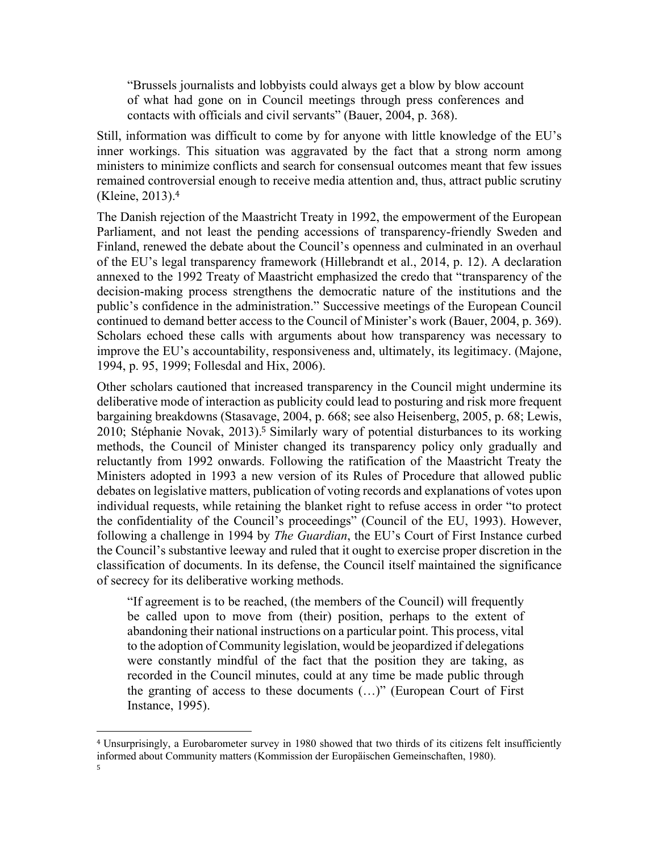"Brussels journalists and lobbyists could always get a blow by blow account of what had gone on in Council meetings through press conferences and contacts with officials and civil servants" (Bauer, 2004, p. 368).

Still, information was difficult to come by for anyone with little knowledge of the EU's inner workings. This situation was aggravated by the fact that a strong norm among ministers to minimize conflicts and search for consensual outcomes meant that few issues remained controversial enough to receive media attention and, thus, attract public scrutiny (Kleine, 2013). 4

The Danish rejection of the Maastricht Treaty in 1992, the empowerment of the European Parliament, and not least the pending accessions of transparency-friendly Sweden and Finland, renewed the debate about the Council's openness and culminated in an overhaul of the EU's legal transparency framework (Hillebrandt et al., 2014, p. 12). A declaration annexed to the 1992 Treaty of Maastricht emphasized the credo that "transparency of the decision-making process strengthens the democratic nature of the institutions and the public's confidence in the administration." Successive meetings of the European Council continued to demand better access to the Council of Minister's work (Bauer, 2004, p. 369). Scholars echoed these calls with arguments about how transparency was necessary to improve the EU's accountability, responsiveness and, ultimately, its legitimacy. (Majone, 1994, p. 95, 1999; Follesdal and Hix, 2006).

Other scholars cautioned that increased transparency in the Council might undermine its deliberative mode of interaction as publicity could lead to posturing and risk more frequent bargaining breakdowns (Stasavage, 2004, p. 668; see also Heisenberg, 2005, p. 68; Lewis, 2010; Stéphanie Novak, 2013). <sup>5</sup> Similarly wary of potential disturbances to its working methods, the Council of Minister changed its transparency policy only gradually and reluctantly from 1992 onwards. Following the ratification of the Maastricht Treaty the Ministers adopted in 1993 a new version of its Rules of Procedure that allowed public debates on legislative matters, publication of voting records and explanations of votes upon individual requests, while retaining the blanket right to refuse access in order "to protect the confidentiality of the Council's proceedings" (Council of the EU, 1993). However, following a challenge in 1994 by *The Guardian*, the EU's Court of First Instance curbed the Council's substantive leeway and ruled that it ought to exercise proper discretion in the classification of documents. In its defense, the Council itself maintained the significance of secrecy for its deliberative working methods.

"If agreement is to be reached, (the members of the Council) will frequently be called upon to move from (their) position, perhaps to the extent of abandoning their national instructions on a particular point. This process, vital to the adoption of Community legislation, would be jeopardized if delegations were constantly mindful of the fact that the position they are taking, as recorded in the Council minutes, could at any time be made public through the granting of access to these documents (…)" (European Court of First Instance, 1995).

<sup>4</sup> Unsurprisingly, a Eurobarometer survey in 1980 showed that two thirds of its citizens felt insufficiently informed about Community matters (Kommission der Europäischen Gemeinschaften, 1980).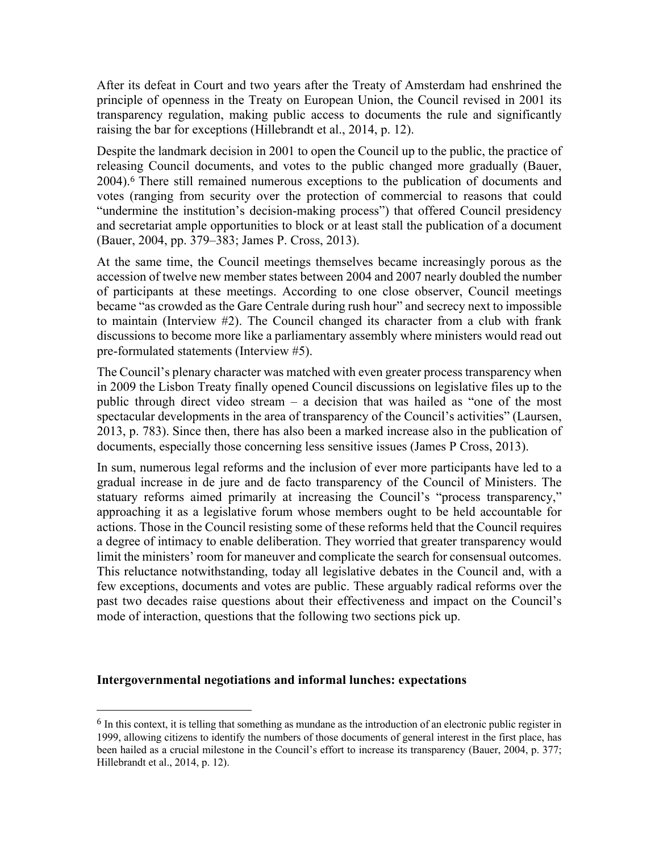After its defeat in Court and two years after the Treaty of Amsterdam had enshrined the principle of openness in the Treaty on European Union, the Council revised in 2001 its transparency regulation, making public access to documents the rule and significantly raising the bar for exceptions (Hillebrandt et al., 2014, p. 12).

Despite the landmark decision in 2001 to open the Council up to the public, the practice of releasing Council documents, and votes to the public changed more gradually (Bauer, 2004).<sup>6</sup> There still remained numerous exceptions to the publication of documents and votes (ranging from security over the protection of commercial to reasons that could "undermine the institution's decision-making process") that offered Council presidency and secretariat ample opportunities to block or at least stall the publication of a document (Bauer, 2004, pp. 379–383; James P. Cross, 2013).

At the same time, the Council meetings themselves became increasingly porous as the accession of twelve new member states between 2004 and 2007 nearly doubled the number of participants at these meetings. According to one close observer, Council meetings became "as crowded as the Gare Centrale during rush hour" and secrecy next to impossible to maintain (Interview #2). The Council changed its character from a club with frank discussions to become more like a parliamentary assembly where ministers would read out pre-formulated statements (Interview #5).

The Council's plenary character was matched with even greater process transparency when in 2009 the Lisbon Treaty finally opened Council discussions on legislative files up to the public through direct video stream – a decision that was hailed as "one of the most spectacular developments in the area of transparency of the Council's activities" (Laursen, 2013, p. 783). Since then, there has also been a marked increase also in the publication of documents, especially those concerning less sensitive issues (James P Cross, 2013).

In sum, numerous legal reforms and the inclusion of ever more participants have led to a gradual increase in de jure and de facto transparency of the Council of Ministers. The statuary reforms aimed primarily at increasing the Council's "process transparency," approaching it as a legislative forum whose members ought to be held accountable for actions. Those in the Council resisting some of these reforms held that the Council requires a degree of intimacy to enable deliberation. They worried that greater transparency would limit the ministers' room for maneuver and complicate the search for consensual outcomes. This reluctance notwithstanding, today all legislative debates in the Council and, with a few exceptions, documents and votes are public. These arguably radical reforms over the past two decades raise questions about their effectiveness and impact on the Council's mode of interaction, questions that the following two sections pick up.

### **Intergovernmental negotiations and informal lunches: expectations**

<sup>&</sup>lt;sup>6</sup> In this context, it is telling that something as mundane as the introduction of an electronic public register in 1999, allowing citizens to identify the numbers of those documents of general interest in the first place, has been hailed as a crucial milestone in the Council's effort to increase its transparency (Bauer, 2004, p. 377; Hillebrandt et al., 2014, p. 12).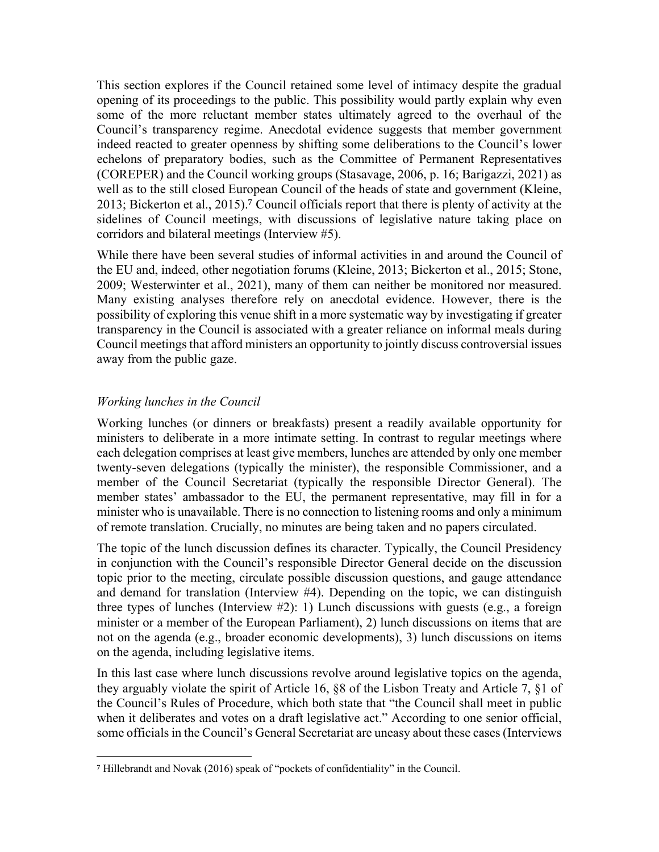This section explores if the Council retained some level of intimacy despite the gradual opening of its proceedings to the public. This possibility would partly explain why even some of the more reluctant member states ultimately agreed to the overhaul of the Council's transparency regime. Anecdotal evidence suggests that member government indeed reacted to greater openness by shifting some deliberations to the Council's lower echelons of preparatory bodies, such as the Committee of Permanent Representatives (COREPER) and the Council working groups (Stasavage, 2006, p. 16; Barigazzi, 2021) as well as to the still closed European Council of the heads of state and government (Kleine, 2013; Bickerton et al., 2015). <sup>7</sup> Council officials report that there is plenty of activity at the sidelines of Council meetings, with discussions of legislative nature taking place on corridors and bilateral meetings (Interview #5).

While there have been several studies of informal activities in and around the Council of the EU and, indeed, other negotiation forums (Kleine, 2013; Bickerton et al., 2015; Stone, 2009; Westerwinter et al., 2021), many of them can neither be monitored nor measured. Many existing analyses therefore rely on anecdotal evidence. However, there is the possibility of exploring this venue shift in a more systematic way by investigating if greater transparency in the Council is associated with a greater reliance on informal meals during Council meetings that afford ministers an opportunity to jointly discuss controversial issues away from the public gaze.

## *Working lunches in the Council*

Working lunches (or dinners or breakfasts) present a readily available opportunity for ministers to deliberate in a more intimate setting. In contrast to regular meetings where each delegation comprises at least give members, lunches are attended by only one member twenty-seven delegations (typically the minister), the responsible Commissioner, and a member of the Council Secretariat (typically the responsible Director General). The member states' ambassador to the EU, the permanent representative, may fill in for a minister who is unavailable. There is no connection to listening rooms and only a minimum of remote translation. Crucially, no minutes are being taken and no papers circulated.

The topic of the lunch discussion defines its character. Typically, the Council Presidency in conjunction with the Council's responsible Director General decide on the discussion topic prior to the meeting, circulate possible discussion questions, and gauge attendance and demand for translation (Interview #4). Depending on the topic, we can distinguish three types of lunches (Interview #2): 1) Lunch discussions with guests (e.g., a foreign minister or a member of the European Parliament), 2) lunch discussions on items that are not on the agenda (e.g., broader economic developments), 3) lunch discussions on items on the agenda, including legislative items.

In this last case where lunch discussions revolve around legislative topics on the agenda, they arguably violate the spirit of Article 16, §8 of the Lisbon Treaty and Article 7, §1 of the Council's Rules of Procedure, which both state that "the Council shall meet in public when it deliberates and votes on a draft legislative act." According to one senior official, some officials in the Council's General Secretariat are uneasy about these cases (Interviews

<sup>7</sup> Hillebrandt and Novak (2016) speak of "pockets of confidentiality" in the Council.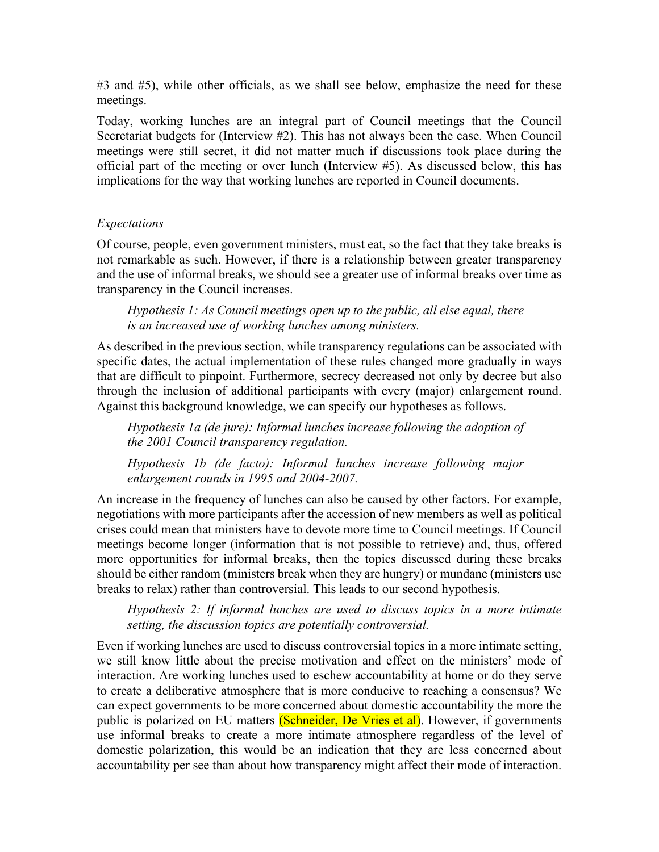#3 and #5), while other officials, as we shall see below, emphasize the need for these meetings.

Today, working lunches are an integral part of Council meetings that the Council Secretariat budgets for (Interview #2). This has not always been the case. When Council meetings were still secret, it did not matter much if discussions took place during the official part of the meeting or over lunch (Interview #5). As discussed below, this has implications for the way that working lunches are reported in Council documents.

## *Expectations*

Of course, people, even government ministers, must eat, so the fact that they take breaks is not remarkable as such. However, if there is a relationship between greater transparency and the use of informal breaks, we should see a greater use of informal breaks over time as transparency in the Council increases.

*Hypothesis 1: As Council meetings open up to the public, all else equal, there is an increased use of working lunches among ministers.*

As described in the previous section, while transparency regulations can be associated with specific dates, the actual implementation of these rules changed more gradually in ways that are difficult to pinpoint. Furthermore, secrecy decreased not only by decree but also through the inclusion of additional participants with every (major) enlargement round. Against this background knowledge, we can specify our hypotheses as follows.

*Hypothesis 1a (de jure): Informal lunches increase following the adoption of the 2001 Council transparency regulation.*

*Hypothesis 1b (de facto): Informal lunches increase following major enlargement rounds in 1995 and 2004-2007.*

An increase in the frequency of lunches can also be caused by other factors. For example, negotiations with more participants after the accession of new members as well as political crises could mean that ministers have to devote more time to Council meetings. If Council meetings become longer (information that is not possible to retrieve) and, thus, offered more opportunities for informal breaks, then the topics discussed during these breaks should be either random (ministers break when they are hungry) or mundane (ministers use breaks to relax) rather than controversial. This leads to our second hypothesis.

*Hypothesis 2: If informal lunches are used to discuss topics in a more intimate setting, the discussion topics are potentially controversial.*

Even if working lunches are used to discuss controversial topics in a more intimate setting, we still know little about the precise motivation and effect on the ministers' mode of interaction. Are working lunches used to eschew accountability at home or do they serve to create a deliberative atmosphere that is more conducive to reaching a consensus? We can expect governments to be more concerned about domestic accountability the more the public is polarized on EU matters (Schneider, De Vries et al). However, if governments use informal breaks to create a more intimate atmosphere regardless of the level of domestic polarization, this would be an indication that they are less concerned about accountability per see than about how transparency might affect their mode of interaction.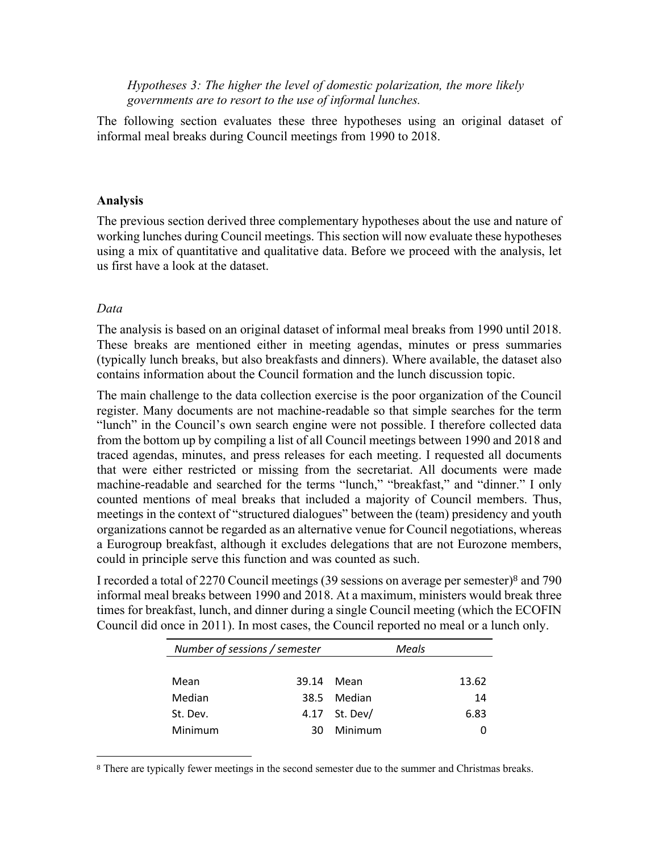*Hypotheses 3: The higher the level of domestic polarization, the more likely governments are to resort to the use of informal lunches.* 

The following section evaluates these three hypotheses using an original dataset of informal meal breaks during Council meetings from 1990 to 2018.

#### **Analysis**

The previous section derived three complementary hypotheses about the use and nature of working lunches during Council meetings. This section will now evaluate these hypotheses using a mix of quantitative and qualitative data. Before we proceed with the analysis, let us first have a look at the dataset.

### *Data*

The analysis is based on an original dataset of informal meal breaks from 1990 until 2018. These breaks are mentioned either in meeting agendas, minutes or press summaries (typically lunch breaks, but also breakfasts and dinners). Where available, the dataset also contains information about the Council formation and the lunch discussion topic.

The main challenge to the data collection exercise is the poor organization of the Council register. Many documents are not machine-readable so that simple searches for the term "lunch" in the Council's own search engine were not possible. I therefore collected data from the bottom up by compiling a list of all Council meetings between 1990 and 2018 and traced agendas, minutes, and press releases for each meeting. I requested all documents that were either restricted or missing from the secretariat. All documents were made machine-readable and searched for the terms "lunch," "breakfast," and "dinner." I only counted mentions of meal breaks that included a majority of Council members. Thus, meetings in the context of "structured dialogues" between the (team) presidency and youth organizations cannot be regarded as an alternative venue for Council negotiations, whereas a Eurogroup breakfast, although it excludes delegations that are not Eurozone members, could in principle serve this function and was counted as such.

I recorded a total of 2270 Council meetings (39 sessions on average per semester)<sup>8</sup> and 790 informal meal breaks between 1990 and 2018. At a maximum, ministers would break three times for breakfast, lunch, and dinner during a single Council meeting (which the ECOFIN Council did once in 2011). In most cases, the Council reported no meal or a lunch only.

| Number of sessions / semester |       |          | Meals |       |
|-------------------------------|-------|----------|-------|-------|
|                               |       |          |       |       |
| Mean                          | 39.14 | Mean     |       | 13.62 |
| Median                        | 38.5  | Median   |       | 14    |
| St. Dev.                      | 4.17  | St. Dev/ |       | 6.83  |
| Minimum                       | 30    | Minimum  |       |       |

<sup>8</sup> There are typically fewer meetings in the second semester due to the summer and Christmas breaks.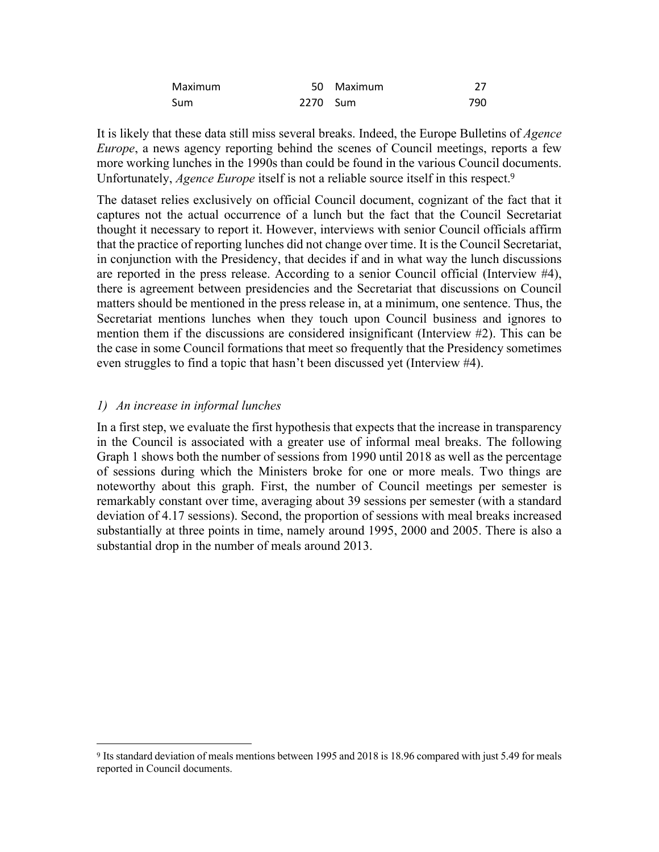| Maximum |          | 50 Maximum |     |
|---------|----------|------------|-----|
| Sum     | 2270 Sum |            | 790 |

It is likely that these data still miss several breaks. Indeed, the Europe Bulletins of *Agence Europe*, a news agency reporting behind the scenes of Council meetings, reports a few more working lunches in the 1990s than could be found in the various Council documents. Unfortunately, *Agence Europe* itself is not a reliable source itself in this respect.<sup>9</sup>

The dataset relies exclusively on official Council document, cognizant of the fact that it captures not the actual occurrence of a lunch but the fact that the Council Secretariat thought it necessary to report it. However, interviews with senior Council officials affirm that the practice of reporting lunches did not change over time. It is the Council Secretariat, in conjunction with the Presidency, that decides if and in what way the lunch discussions are reported in the press release. According to a senior Council official (Interview #4), there is agreement between presidencies and the Secretariat that discussions on Council matters should be mentioned in the press release in, at a minimum, one sentence. Thus, the Secretariat mentions lunches when they touch upon Council business and ignores to mention them if the discussions are considered insignificant (Interview #2). This can be the case in some Council formations that meet so frequently that the Presidency sometimes even struggles to find a topic that hasn't been discussed yet (Interview #4).

### *1) An increase in informal lunches*

In a first step, we evaluate the first hypothesis that expects that the increase in transparency in the Council is associated with a greater use of informal meal breaks. The following Graph 1 shows both the number of sessions from 1990 until 2018 as well as the percentage of sessions during which the Ministers broke for one or more meals. Two things are noteworthy about this graph. First, the number of Council meetings per semester is remarkably constant over time, averaging about 39 sessions per semester (with a standard deviation of 4.17 sessions). Second, the proportion of sessions with meal breaks increased substantially at three points in time, namely around 1995, 2000 and 2005. There is also a substantial drop in the number of meals around 2013.

<sup>9</sup> Its standard deviation of meals mentions between 1995 and 2018 is 18.96 compared with just 5.49 for meals reported in Council documents.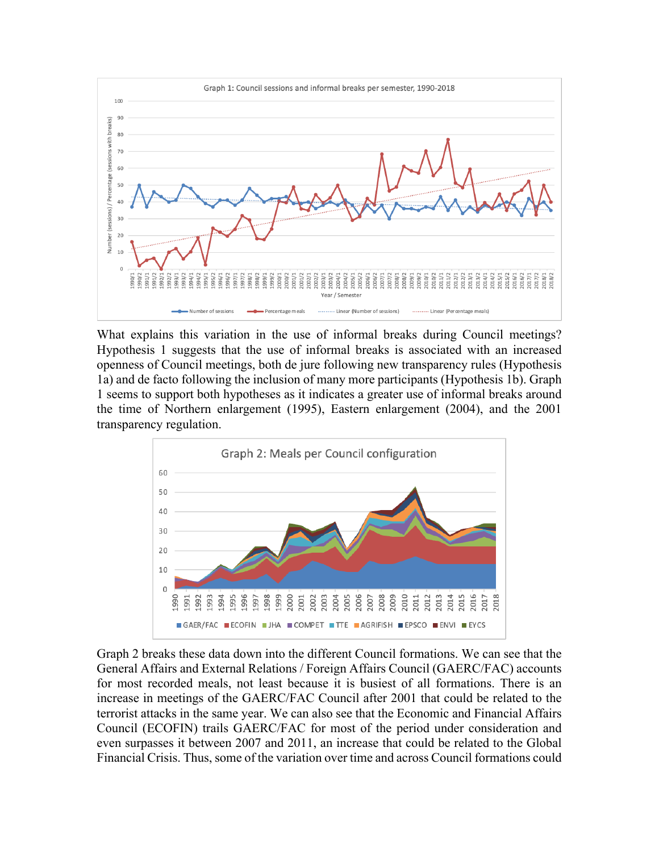

What explains this variation in the use of informal breaks during Council meetings? Hypothesis 1 suggests that the use of informal breaks is associated with an increased openness of Council meetings, both de jure following new transparency rules (Hypothesis 1a) and de facto following the inclusion of many more participants (Hypothesis 1b). Graph 1 seems to support both hypotheses as it indicates a greater use of informal breaks around the time of Northern enlargement (1995), Eastern enlargement (2004), and the 2001 transparency regulation.



Graph 2 breaks these data down into the different Council formations. We can see that the General Affairs and External Relations / Foreign Affairs Council (GAERC/FAC) accounts for most recorded meals, not least because it is busiest of all formations. There is an increase in meetings of the GAERC/FAC Council after 2001 that could be related to the terrorist attacks in the same year. We can also see that the Economic and Financial Affairs Council (ECOFIN) trails GAERC/FAC for most of the period under consideration and even surpasses it between 2007 and 2011, an increase that could be related to the Global Financial Crisis. Thus, some of the variation over time and across Council formations could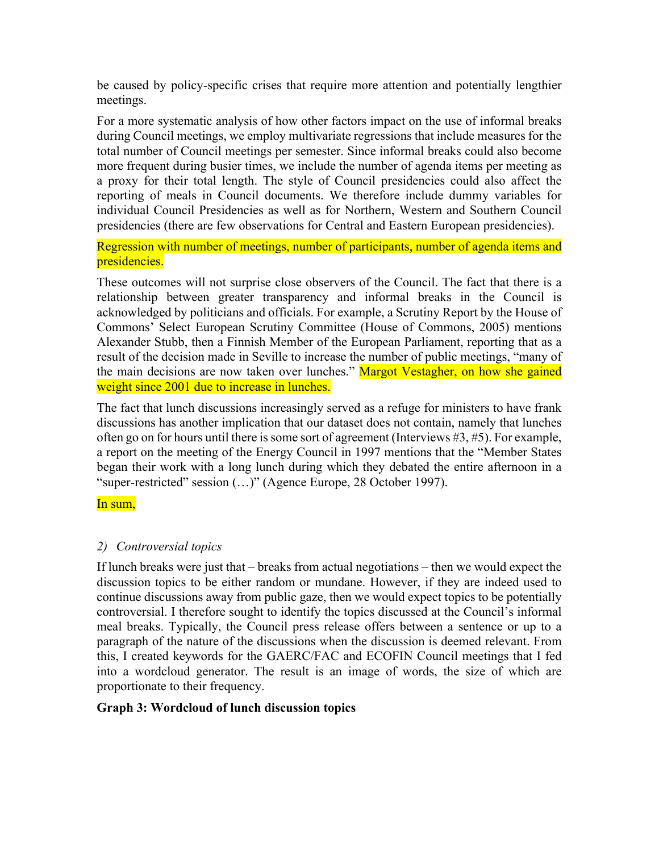be caused by policy-specific crises that require more attention and potentially lengthier meetings.

For a more systematic analysis of how other factors impact on the use of informal breaks during Council meetings, we employ multivariate regressions that include measures for the total number of Council meetings per semester. Since informal breaks could also become more frequent during busier times, we include the number of agenda items per meeting as a proxy for their total length. The style of Council presidencies could also affect the reporting of meals in Council documents. We therefore include dummy variables for individual Council Presidencies as well as for Northern, Western and Southern Council presidencies (there are few observations for Central and Eastern European presidencies).

Regression with number of meetings, number of participants, number of agenda items and presidencies.

These outcomes will not surprise close observers of the Council. The fact that there is a relationship between greater transparency and informal breaks in the Council is acknowledged by politicians and officials. For example, a Scrutiny Report by the House of Commons' Select European Scrutiny Committee (House of Commons, 2005) mentions Alexander Stubb, then a Finnish Member of the European Parliament, reporting that as a result of the decision made in Seville to increase the number of public meetings, "many of the main decisions are now taken over lunches." Margot Vestagher, on how she gained weight since 2001 due to increase in lunches.

The fact that lunch discussions increasingly served as a refuge for ministers to have frank discussions has another implication that our dataset does not contain, namely that lunches often go on for hours until there is some sort of agreement (Interviews #3, #5). For example, a report on the meeting of the Energy Council in 1997 mentions that the "Member States began their work with a long lunch during which they debated the entire afternoon in a "super-restricted" session (…)" (Agence Europe, 28 October 1997).

In sum,

# *2) Controversial topics*

If lunch breaks were just that – breaks from actual negotiations – then we would expect the discussion topics to be either random or mundane. However, if they are indeed used to continue discussions away from public gaze, then we would expect topics to be potentially controversial. I therefore sought to identify the topics discussed at the Council's informal meal breaks. Typically, the Council press release offers between a sentence or up to a paragraph of the nature of the discussions when the discussion is deemed relevant. From this, I created keywords for the GAERC/FAC and ECOFIN Council meetings that I fed into a wordcloud generator. The result is an image of words, the size of which are proportionate to their frequency.

# **Graph 3: Wordcloud of lunch discussion topics**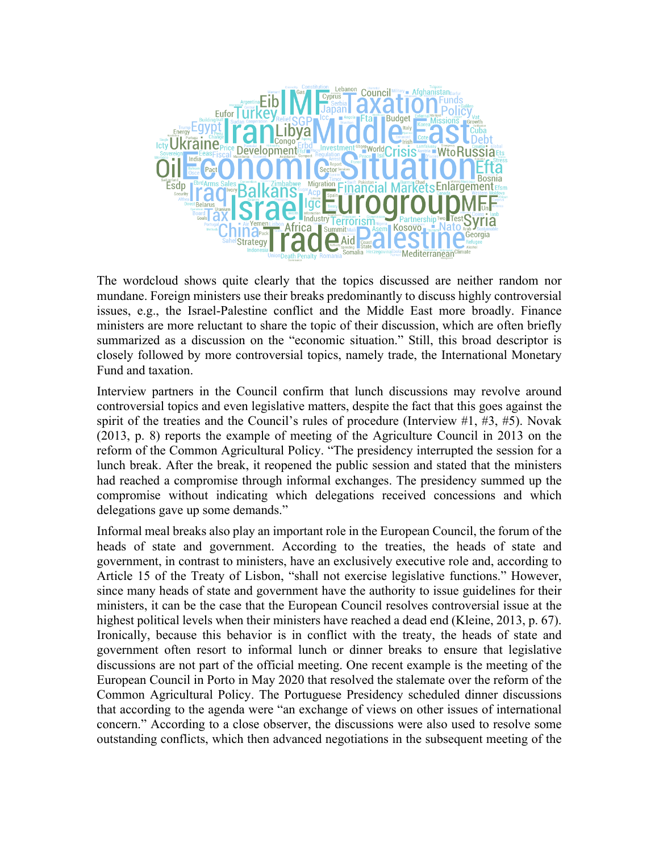

The wordcloud shows quite clearly that the topics discussed are neither random nor mundane. Foreign ministers use their breaks predominantly to discuss highly controversial issues, e.g., the Israel-Palestine conflict and the Middle East more broadly. Finance ministers are more reluctant to share the topic of their discussion, which are often briefly summarized as a discussion on the "economic situation." Still, this broad descriptor is closely followed by more controversial topics, namely trade, the International Monetary Fund and taxation.

Interview partners in the Council confirm that lunch discussions may revolve around controversial topics and even legislative matters, despite the fact that this goes against the spirit of the treaties and the Council's rules of procedure (Interview #1, #3, #5). Novak (2013, p. 8) reports the example of meeting of the Agriculture Council in 2013 on the reform of the Common Agricultural Policy. "The presidency interrupted the session for a lunch break. After the break, it reopened the public session and stated that the ministers had reached a compromise through informal exchanges. The presidency summed up the compromise without indicating which delegations received concessions and which delegations gave up some demands."

Informal meal breaks also play an important role in the European Council, the forum of the heads of state and government. According to the treaties, the heads of state and government, in contrast to ministers, have an exclusively executive role and, according to Article 15 of the Treaty of Lisbon, "shall not exercise legislative functions." However, since many heads of state and government have the authority to issue guidelines for their ministers, it can be the case that the European Council resolves controversial issue at the highest political levels when their ministers have reached a dead end (Kleine, 2013, p. 67). Ironically, because this behavior is in conflict with the treaty, the heads of state and government often resort to informal lunch or dinner breaks to ensure that legislative discussions are not part of the official meeting. One recent example is the meeting of the European Council in Porto in May 2020 that resolved the stalemate over the reform of the Common Agricultural Policy. The Portuguese Presidency scheduled dinner discussions that according to the agenda were "an exchange of views on other issues of international concern." According to a close observer, the discussions were also used to resolve some outstanding conflicts, which then advanced negotiations in the subsequent meeting of the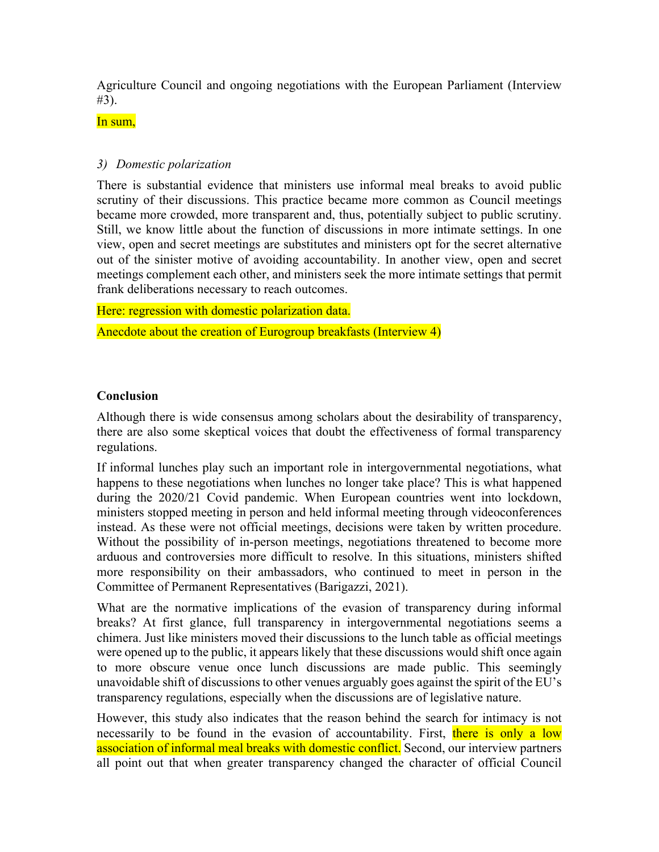Agriculture Council and ongoing negotiations with the European Parliament (Interview #3).

In sum.

## *3) Domestic polarization*

There is substantial evidence that ministers use informal meal breaks to avoid public scrutiny of their discussions. This practice became more common as Council meetings became more crowded, more transparent and, thus, potentially subject to public scrutiny. Still, we know little about the function of discussions in more intimate settings. In one view, open and secret meetings are substitutes and ministers opt for the secret alternative out of the sinister motive of avoiding accountability. In another view, open and secret meetings complement each other, and ministers seek the more intimate settings that permit frank deliberations necessary to reach outcomes.

Here: regression with domestic polarization data.

Anecdote about the creation of Eurogroup breakfasts (Interview 4)

## **Conclusion**

Although there is wide consensus among scholars about the desirability of transparency, there are also some skeptical voices that doubt the effectiveness of formal transparency regulations.

If informal lunches play such an important role in intergovernmental negotiations, what happens to these negotiations when lunches no longer take place? This is what happened during the 2020/21 Covid pandemic. When European countries went into lockdown, ministers stopped meeting in person and held informal meeting through videoconferences instead. As these were not official meetings, decisions were taken by written procedure. Without the possibility of in-person meetings, negotiations threatened to become more arduous and controversies more difficult to resolve. In this situations, ministers shifted more responsibility on their ambassadors, who continued to meet in person in the Committee of Permanent Representatives (Barigazzi, 2021).

What are the normative implications of the evasion of transparency during informal breaks? At first glance, full transparency in intergovernmental negotiations seems a chimera. Just like ministers moved their discussions to the lunch table as official meetings were opened up to the public, it appears likely that these discussions would shift once again to more obscure venue once lunch discussions are made public. This seemingly unavoidable shift of discussions to other venues arguably goes against the spirit of the EU's transparency regulations, especially when the discussions are of legislative nature.

However, this study also indicates that the reason behind the search for intimacy is not necessarily to be found in the evasion of accountability. First, there is only a low association of informal meal breaks with domestic conflict. Second, our interview partners all point out that when greater transparency changed the character of official Council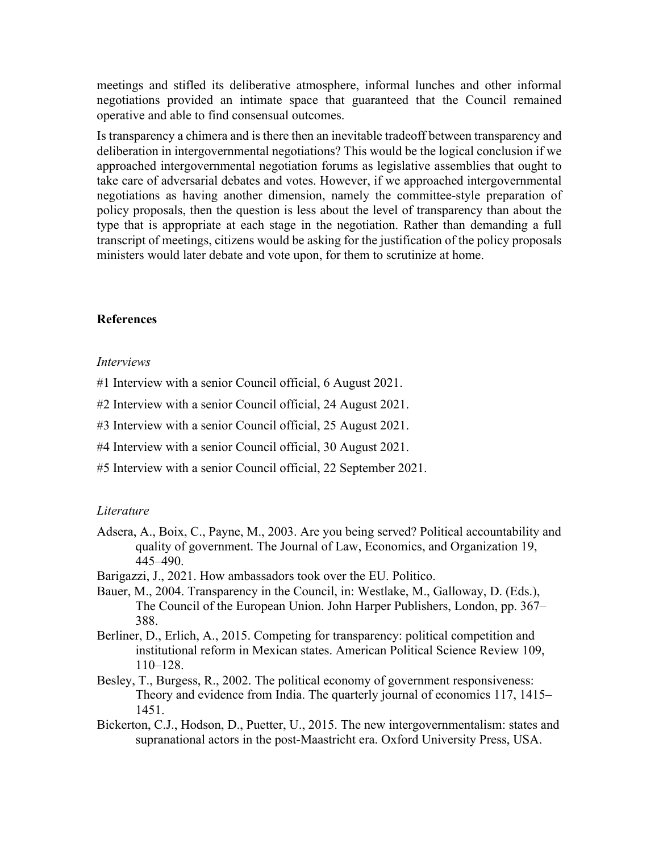meetings and stifled its deliberative atmosphere, informal lunches and other informal negotiations provided an intimate space that guaranteed that the Council remained operative and able to find consensual outcomes.

Is transparency a chimera and is there then an inevitable tradeoff between transparency and deliberation in intergovernmental negotiations? This would be the logical conclusion if we approached intergovernmental negotiation forums as legislative assemblies that ought to take care of adversarial debates and votes. However, if we approached intergovernmental negotiations as having another dimension, namely the committee-style preparation of policy proposals, then the question is less about the level of transparency than about the type that is appropriate at each stage in the negotiation. Rather than demanding a full transcript of meetings, citizens would be asking for the justification of the policy proposals ministers would later debate and vote upon, for them to scrutinize at home.

### **References**

#### *Interviews*

- #1 Interview with a senior Council official, 6 August 2021.
- #2 Interview with a senior Council official, 24 August 2021.
- #3 Interview with a senior Council official, 25 August 2021.
- #4 Interview with a senior Council official, 30 August 2021.
- #5 Interview with a senior Council official, 22 September 2021.

#### *Literature*

- Adsera, A., Boix, C., Payne, M., 2003. Are you being served? Political accountability and quality of government. The Journal of Law, Economics, and Organization 19, 445–490.
- Barigazzi, J., 2021. How ambassadors took over the EU. Politico.
- Bauer, M., 2004. Transparency in the Council, in: Westlake, M., Galloway, D. (Eds.), The Council of the European Union. John Harper Publishers, London, pp. 367– 388.
- Berliner, D., Erlich, A., 2015. Competing for transparency: political competition and institutional reform in Mexican states. American Political Science Review 109, 110–128.
- Besley, T., Burgess, R., 2002. The political economy of government responsiveness: Theory and evidence from India. The quarterly journal of economics 117, 1415– 1451.
- Bickerton, C.J., Hodson, D., Puetter, U., 2015. The new intergovernmentalism: states and supranational actors in the post-Maastricht era. Oxford University Press, USA.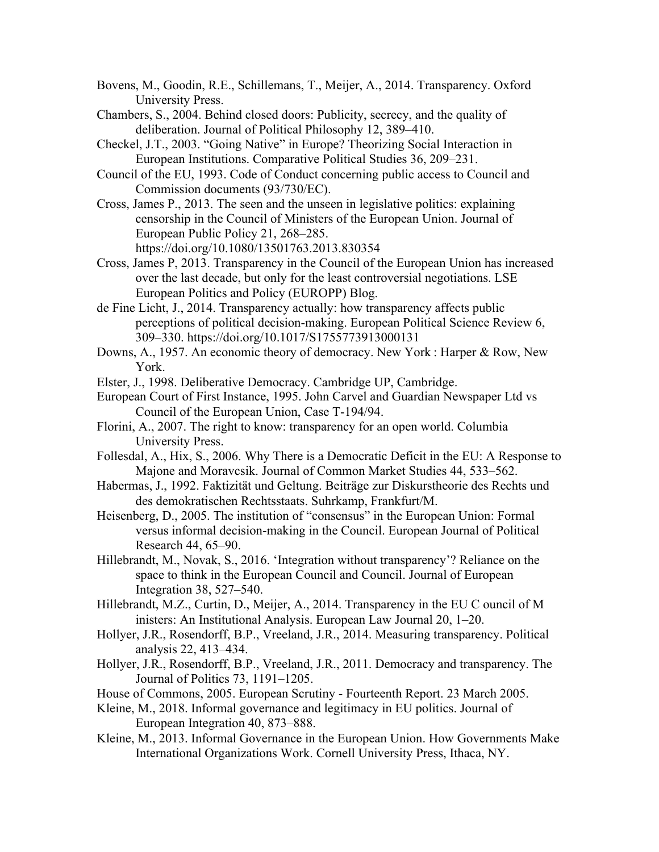- Bovens, M., Goodin, R.E., Schillemans, T., Meijer, A., 2014. Transparency. Oxford University Press.
- Chambers, S., 2004. Behind closed doors: Publicity, secrecy, and the quality of deliberation. Journal of Political Philosophy 12, 389–410.
- Checkel, J.T., 2003. "Going Native" in Europe? Theorizing Social Interaction in European Institutions. Comparative Political Studies 36, 209–231.
- Council of the EU, 1993. Code of Conduct concerning public access to Council and Commission documents (93/730/EC).
- Cross, James P., 2013. The seen and the unseen in legislative politics: explaining censorship in the Council of Ministers of the European Union. Journal of European Public Policy 21, 268–285. https://doi.org/10.1080/13501763.2013.830354
- Cross, James P, 2013. Transparency in the Council of the European Union has increased over the last decade, but only for the least controversial negotiations. LSE European Politics and Policy (EUROPP) Blog.
- de Fine Licht, J., 2014. Transparency actually: how transparency affects public perceptions of political decision-making. European Political Science Review 6, 309–330. https://doi.org/10.1017/S1755773913000131
- Downs, A., 1957. An economic theory of democracy. New York : Harper & Row, New York.
- Elster, J., 1998. Deliberative Democracy. Cambridge UP, Cambridge.
- European Court of First Instance, 1995. John Carvel and Guardian Newspaper Ltd vs Council of the European Union, Case T-194/94.
- Florini, A., 2007. The right to know: transparency for an open world. Columbia University Press.
- Follesdal, A., Hix, S., 2006. Why There is a Democratic Deficit in the EU: A Response to Majone and Moravcsik. Journal of Common Market Studies 44, 533–562.
- Habermas, J., 1992. Faktizität und Geltung. Beiträge zur Diskurstheorie des Rechts und des demokratischen Rechtsstaats. Suhrkamp, Frankfurt/M.
- Heisenberg, D., 2005. The institution of "consensus" in the European Union: Formal versus informal decision-making in the Council. European Journal of Political Research 44, 65–90.
- Hillebrandt, M., Novak, S., 2016. 'Integration without transparency'? Reliance on the space to think in the European Council and Council. Journal of European Integration 38, 527–540.
- Hillebrandt, M.Z., Curtin, D., Meijer, A., 2014. Transparency in the EU C ouncil of M inisters: An Institutional Analysis. European Law Journal 20, 1–20.
- Hollyer, J.R., Rosendorff, B.P., Vreeland, J.R., 2014. Measuring transparency. Political analysis 22, 413–434.
- Hollyer, J.R., Rosendorff, B.P., Vreeland, J.R., 2011. Democracy and transparency. The Journal of Politics 73, 1191–1205.
- House of Commons, 2005. European Scrutiny Fourteenth Report. 23 March 2005.
- Kleine, M., 2018. Informal governance and legitimacy in EU politics. Journal of European Integration 40, 873–888.
- Kleine, M., 2013. Informal Governance in the European Union. How Governments Make International Organizations Work. Cornell University Press, Ithaca, NY.